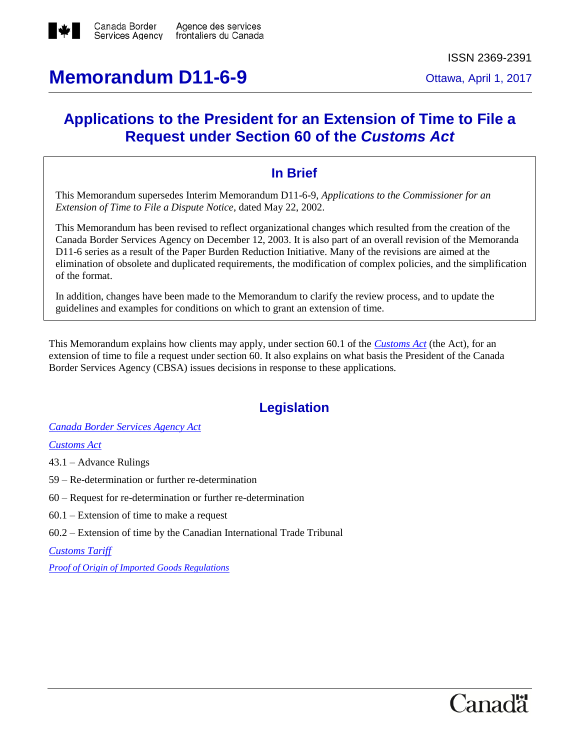

# **Memorandum D11-6-9** Ottawa, April 1, 2017

## **Applications to the President for an Extension of Time to File a Request under Section 60 of the** *Customs Act*

### **In Brief**

This Memorandum supersedes Interim Memorandum D11-6-9, *Applications to the Commissioner for an Extension of Time to File a Dispute Notice*, dated May 22, 2002.

This Memorandum has been revised to reflect organizational changes which resulted from the creation of the Canada Border Services Agency on December 12, 2003. It is also part of an overall revision of the Memoranda D11-6 series as a result of the Paper Burden Reduction Initiative. Many of the revisions are aimed at the elimination of obsolete and duplicated requirements, the modification of complex policies, and the simplification of the format.

In addition, changes have been made to the Memorandum to clarify the review process, and to update the guidelines and examples for conditions on which to grant an extension of time.

This Memorandum explains how clients may apply, under section 60.1 of the *[Customs Act](http://laws-lois.justice.gc.ca/eng/acts/C-52.6/)* (the Act), for an extension of time to file a request under section 60. It also explains on what basis the President of the Canada Border Services Agency (CBSA) issues decisions in response to these applications.

## **Legislation**

*[Canada Border Services Agency Act](http://laws-lois.justice.gc.ca/eng/acts/c-1.4/)*

*[Customs Act](http://laws-lois.justice.gc.ca/eng/acts/C-52.6/index.html)*

43.1 – Advance Rulings

59 – Re-determination or further re-determination

- 60 Request for re-determination or further re-determination
- 60.1 Extension of time to make a request
- 60.2 Extension of time by the Canadian International Trade Tribunal

*[Customs Tariff](http://www.cbsa-asfc.gc.ca/trade-commerce/tariff-tarif/menu-eng.html)*

*[Proof of Origin of Imported Goods Regulations](http://laws.justice.gc.ca/eng/regulations/SOR-98-52/FullText.html)*

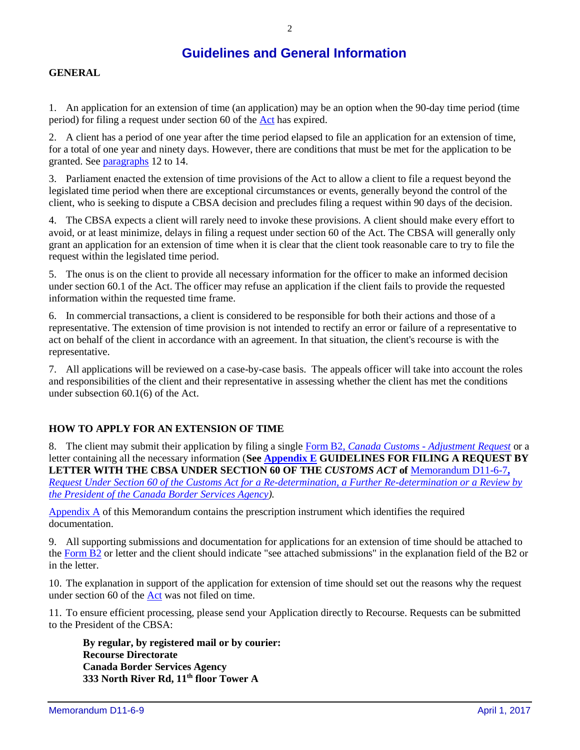### **Guidelines and General Information**

#### **GENERAL**

1. An application for an extension of time (an application) may be an option when the 90-day time period (time period) for filing a request under section 60 of the [Act](http://laws-lois.justice.gc.ca/eng/acts/C-52.6/) has expired.

2. A client has a period of one year after the time period elapsed to file an application for an extension of time, for a total of one year and ninety days. However, there are conditions that must be met for the application to be granted. Se[e paragraphs](#page-2-0) 12 to 14.

3. Parliament enacted the extension of time provisions of the Act to allow a client to file a request beyond the legislated time period when there are exceptional circumstances or events, generally beyond the control of the client, who is seeking to dispute a CBSA decision and precludes filing a request within 90 days of the decision.

4. The CBSA expects a client will rarely need to invoke these provisions. A client should make every effort to avoid, or at least minimize, delays in filing a request under section 60 of the Act. The CBSA will generally only grant an application for an extension of time when it is clear that the client took reasonable care to try to file the request within the legislated time period.

5. The onus is on the client to provide all necessary information for the officer to make an informed decision under section 60.1 of the Act. The officer may refuse an application if the client fails to provide the requested information within the requested time frame.

6. In commercial transactions, a client is considered to be responsible for both their actions and those of a representative. The extension of time provision is not intended to rectify an error or failure of a representative to act on behalf of the client in accordance with an agreement. In that situation, the client's recourse is with the representative.

7. All applications will be reviewed on a case-by-case basis. The appeals officer will take into account the roles and responsibilities of the client and their representative in assessing whether the client has met the conditions under subsection 60.1(6) of the Act.

#### **HOW TO APPLY FOR AN EXTENSION OF TIME**

8. The client may submit their application by filing a single Form B2, *Canada Customs - [Adjustment Request](http://www.cbsa-asfc.gc.ca/publications/forms-formulaires/b2-eng.html)* or a letter containing all the necessary information (**Se[e Appendix E](#page-11-0) GUIDELINES FOR FILING A REQUEST BY LETTER WITH THE CBSA UNDER SECTION 60 OF THE** *CUSTOMS ACT* **of** [Memorandum D11-6-7](http://www.cbsa-asfc.gc.ca/publications/dm-md/d11/d11-6-7-eng.html)**,** *Request Under Section 60 of the Customs Act for a [Re-determination, a Further Re-determination or a Review by](http://www.cbsa-asfc.gc.ca/publications/dm-md/d11/d11-6-7-eng.html)  [the President of the Canada Border Services Agency\)](http://www.cbsa-asfc.gc.ca/publications/dm-md/d11/d11-6-7-eng.html).* 

[Appendix A](#page-6-0) of this Memorandum contains the prescription instrument which identifies the required documentation.

9. All supporting submissions and documentation for applications for an extension of time should be attached to the [Form B2](http://www.cbsa-asfc.gc.ca/publications/forms-formulaires/b2-eng.html) or letter and the client should indicate "see attached submissions" in the explanation field of the B2 or in the letter.

10. The explanation in support of the application for extension of time should set out the reasons why the request under section 60 of the [Act](http://laws-lois.justice.gc.ca/eng/acts/C-52.6/) was not filed on time.

11. To ensure efficient processing, please send your Application directly to Recourse. Requests can be submitted to the President of the CBSA:

**By regular, by registered mail or by courier: Recourse Directorate Canada Border Services Agency 333 North River Rd, 11th floor Tower A**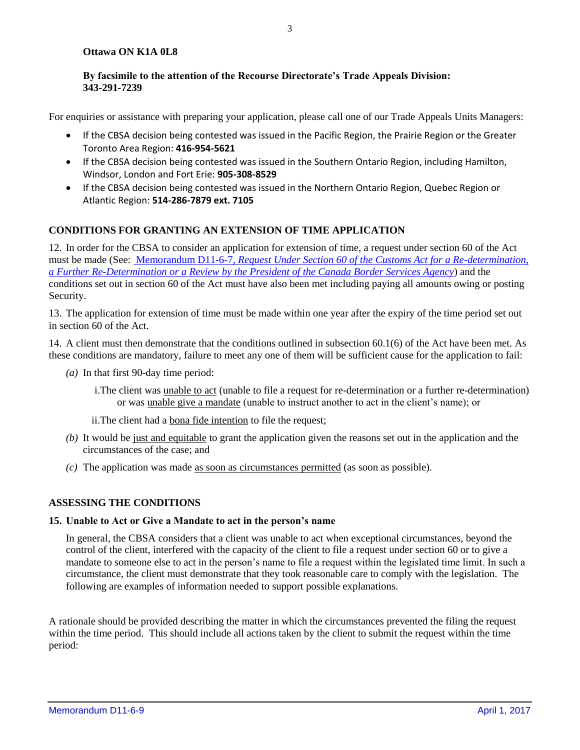#### **Ottawa ON K1A 0L8**

#### **By facsimile to the attention of the Recourse Directorate's Trade Appeals Division: 343-291-7239**

For enquiries or assistance with preparing your application, please call one of our Trade Appeals Units Managers:

- If the CBSA decision being contested was issued in the Pacific Region, the Prairie Region or the Greater Toronto Area Region: **416-954-5621**
- If the CBSA decision being contested was issued in the Southern Ontario Region, including Hamilton, Windsor, London and Fort Erie: **905-308-8529**
- If the CBSA decision being contested was issued in the Northern Ontario Region, Quebec Region or Atlantic Region: **514-286-7879 ext. 7105**

#### **CONDITIONS FOR GRANTING AN EXTENSION OF TIME APPLICATION**

<span id="page-2-0"></span>12. In order for the CBSA to consider an application for extension of time, a request under section 60 of the Act must be made (See: Memorandum D11-6-7, *[Request Under Section 60 of the Customs Act for a Re-determination,](http://www.cbsa-asfc.gc.ca/publications/dm-md/d11/d11-6-7-eng.html)  [a Further Re-Determination or a Review by the President of the Canada Border Services Agency](http://www.cbsa-asfc.gc.ca/publications/dm-md/d11/d11-6-7-eng.html)*) and the conditions set out in section 60 of the Act must have also been met including paying all amounts owing or posting Security.

<span id="page-2-1"></span>13. The application for extension of time must be made within one year after the expiry of the time period set out in section 60 of the Act.

14. A client must then demonstrate that the conditions outlined in subsection 60.1(6) of the Act have been met. As these conditions are mandatory, failure to meet any one of them will be sufficient cause for the application to fail:

- *(a)* In that first 90-day time period:
	- i. The client was unable to act (unable to file a request for re-determination or a further re-determination) or was unable give a mandate (unable to instruct another to act in the client's name); or
	- ii.The client had a bona fide intention to file the request;
- *(b)* It would be just and equitable to grant the application given the reasons set out in the application and the circumstances of the case; and
- *(c)* The application was made as soon as circumstances permitted (as soon as possible).

#### **ASSESSING THE CONDITIONS**

#### **15. Unable to Act or Give a Mandate to act in the person's name**

In general, the CBSA considers that a client was unable to act when exceptional circumstances, beyond the control of the client, interfered with the capacity of the client to file a request under section 60 or to give a mandate to someone else to act in the person's name to file a request within the legislated time limit. In such a circumstance, the client must demonstrate that they took reasonable care to comply with the legislation. The following are examples of information needed to support possible explanations.

A rationale should be provided describing the matter in which the circumstances prevented the filing the request within the time period. This should include all actions taken by the client to submit the request within the time period: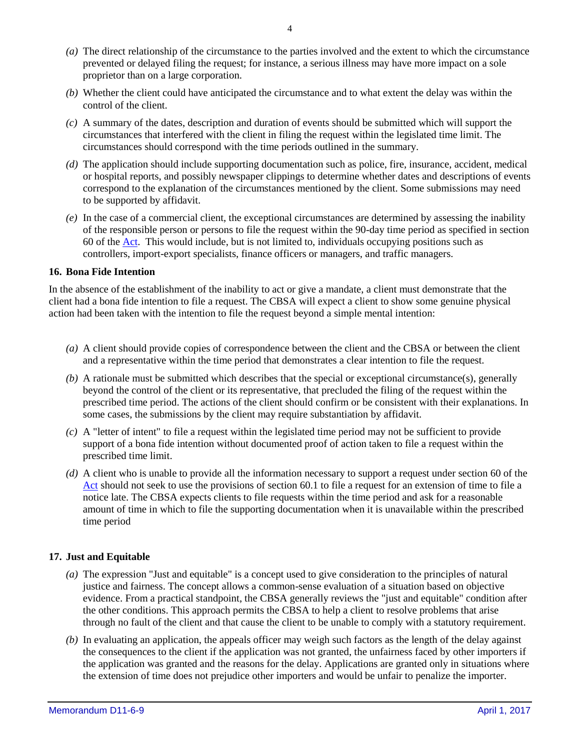- *(a)* The direct relationship of the circumstance to the parties involved and the extent to which the circumstance prevented or delayed filing the request; for instance, a serious illness may have more impact on a sole proprietor than on a large corporation.
- *(b)* Whether the client could have anticipated the circumstance and to what extent the delay was within the control of the client.
- *(c)* A summary of the dates, description and duration of events should be submitted which will support the circumstances that interfered with the client in filing the request within the legislated time limit. The circumstances should correspond with the time periods outlined in the summary.
- *(d)* The application should include supporting documentation such as police, fire, insurance, accident, medical or hospital reports, and possibly newspaper clippings to determine whether dates and descriptions of events correspond to the explanation of the circumstances mentioned by the client. Some submissions may need to be supported by affidavit.
- *(e)* In the case of a commercial client, the exceptional circumstances are determined by assessing the inability of the responsible person or persons to file the request within the 90-day time period as specified in section 60 of the [Act.](http://laws-lois.justice.gc.ca/eng/acts/C-52.6/) This would include, but is not limited to, individuals occupying positions such as controllers, import-export specialists, finance officers or managers, and traffic managers.

#### **16. Bona Fide Intention**

In the absence of the establishment of the inability to act or give a mandate, a client must demonstrate that the client had a bona fide intention to file a request. The CBSA will expect a client to show some genuine physical action had been taken with the intention to file the request beyond a simple mental intention:

- *(a)* A client should provide copies of correspondence between the client and the CBSA or between the client and a representative within the time period that demonstrates a clear intention to file the request.
- *(b)* A rationale must be submitted which describes that the special or exceptional circumstance(s), generally beyond the control of the client or its representative, that precluded the filing of the request within the prescribed time period. The actions of the client should confirm or be consistent with their explanations. In some cases, the submissions by the client may require substantiation by affidavit.
- *(c)* A "letter of intent" to file a request within the legislated time period may not be sufficient to provide support of a bona fide intention without documented proof of action taken to file a request within the prescribed time limit.
- *(d)* A client who is unable to provide all the information necessary to support a request under section 60 of the [Act](http://laws-lois.justice.gc.ca/eng/acts/C-52.6/) should not seek to use the provisions of section 60.1 to file a request for an extension of time to file a notice late. The CBSA expects clients to file requests within the time period and ask for a reasonable amount of time in which to file the supporting documentation when it is unavailable within the prescribed time period

#### **17. Just and Equitable**

- *(a)* The expression "Just and equitable" is a concept used to give consideration to the principles of natural justice and fairness. The concept allows a common-sense evaluation of a situation based on objective evidence. From a practical standpoint, the CBSA generally reviews the "just and equitable" condition after the other conditions. This approach permits the CBSA to help a client to resolve problems that arise through no fault of the client and that cause the client to be unable to comply with a statutory requirement.
- *(b)* In evaluating an application, the appeals officer may weigh such factors as the length of the delay against the consequences to the client if the application was not granted, the unfairness faced by other importers if the application was granted and the reasons for the delay. Applications are granted only in situations where the extension of time does not prejudice other importers and would be unfair to penalize the importer.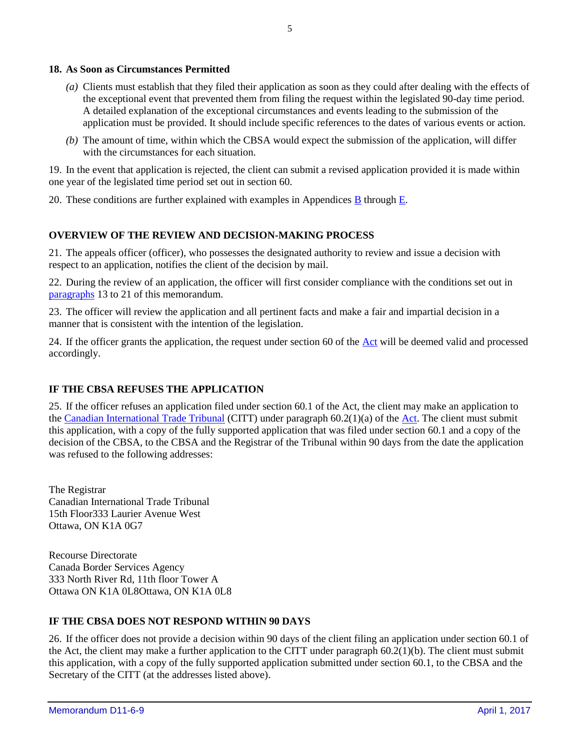#### **18. As Soon as Circumstances Permitted**

- *(a)* Clients must establish that they filed their application as soon as they could after dealing with the effects of the exceptional event that prevented them from filing the request within the legislated 90-day time period. A detailed explanation of the exceptional circumstances and events leading to the submission of the application must be provided. It should include specific references to the dates of various events or action.
- *(b)* The amount of time, within which the CBSA would expect the submission of the application, will differ with the circumstances for each situation.

19. In the event that application is rejected, the client can submit a revised application provided it is made within one year of the legislated time period set out in section 60.

20. These conditions are further explained with examples in Appendices [B](#page-8-0) through [E.](#page-11-0)

#### **OVERVIEW OF THE REVIEW AND DECISION-MAKING PROCESS**

21. The appeals officer (officer), who possesses the designated authority to review and issue a decision with respect to an application, notifies the client of the decision by mail.

22. During the review of an application, the officer will first consider compliance with the conditions set out in [paragraphs](#page-2-1) 13 to 21 of this memorandum.

23. The officer will review the application and all pertinent facts and make a fair and impartial decision in a manner that is consistent with the intention of the legislation.

24. If the officer grants the application, the request under section 60 of the  $Act$  will be deemed valid and processed accordingly.

#### **IF THE CBSA REFUSES THE APPLICATION**

25. If the officer refuses an application filed under section 60.1 of the Act, the client may make an application to the [Canadian International Trade Tribunal](http://www.citt.gc.ca/) (CITT) under paragraph 60.2(1)(a) of the [Act.](http://laws-lois.justice.gc.ca/eng/acts/C-52.6/) The client must submit this application, with a copy of the fully supported application that was filed under section 60.1 and a copy of the decision of the CBSA, to the CBSA and the Registrar of the Tribunal within 90 days from the date the application was refused to the following addresses:

The Registrar Canadian International Trade Tribunal 15th Floor333 Laurier Avenue West Ottawa, ON K1A 0G7

Recourse Directorate Canada Border Services Agency 333 North River Rd, 11th floor Tower A Ottawa ON K1A 0L8Ottawa, ON K1A 0L8

#### **IF THE CBSA DOES NOT RESPOND WITHIN 90 DAYS**

26. If the officer does not provide a decision within 90 days of the client filing an application under section 60.1 of the Act, the client may make a further application to the CITT under paragraph 60.2(1)(b). The client must submit this application, with a copy of the fully supported application submitted under section 60.1, to the CBSA and the Secretary of the CITT (at the addresses listed above).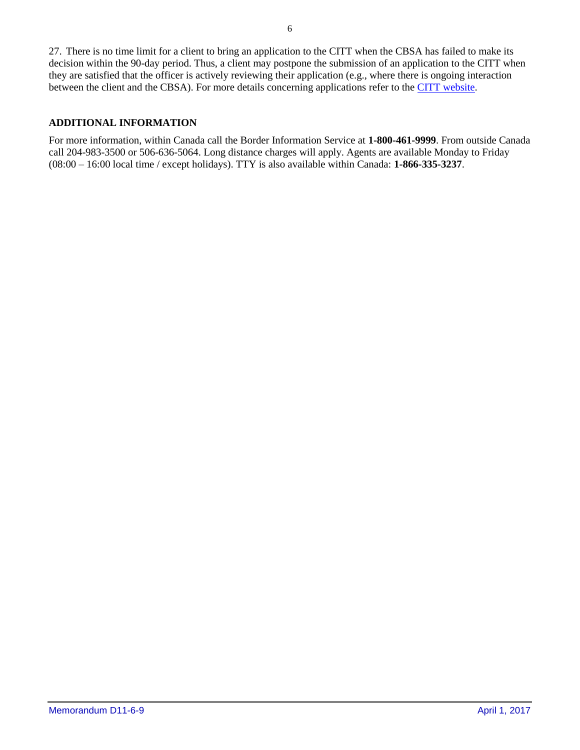27. There is no time limit for a client to bring an application to the CITT when the CBSA has failed to make its decision within the 90-day period. Thus, a client may postpone the submission of an application to the CITT when they are satisfied that the officer is actively reviewing their application (e.g., where there is ongoing interaction between the client and the CBSA). For more details concerning applications refer to the [CITT](http://www.citt.gc.ca/) website.

#### **ADDITIONAL INFORMATION**

For more information, within Canada call the Border Information Service at **1-800-461-9999**. From outside Canada call 204-983-3500 or 506-636-5064. Long distance charges will apply. Agents are available Monday to Friday (08:00 – 16:00 local time / except holidays). TTY is also available within Canada: **1-866-335-3237**.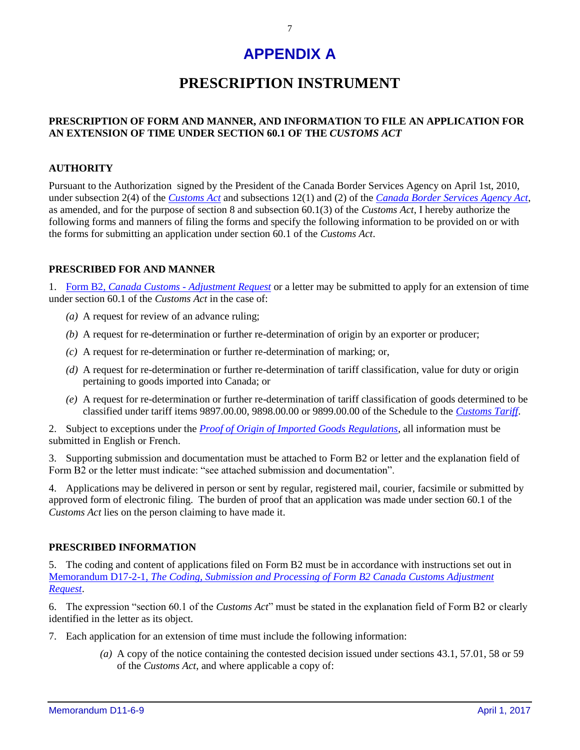## **APPENDIX A**

### **PRESCRIPTION INSTRUMENT**

#### <span id="page-6-0"></span>**PRESCRIPTION OF FORM AND MANNER, AND INFORMATION TO FILE AN APPLICATION FOR AN EXTENSION OF TIME UNDER SECTION 60.1 OF THE** *CUSTOMS ACT*

#### **AUTHORITY**

Pursuant to the Authorization signed by the President of the Canada Border Services Agency on April 1st, 2010, under subsection 2(4) of the *[Customs Act](http://laws-lois.justice.gc.ca/eng/acts/C-52.6/)* and subsections 12(1) and (2) of the *[Canada Border Services Agency Act](http://laws-lois.justice.gc.ca/eng/acts/c-1.4/)*, as amended, and for the purpose of section 8 and subsection 60.1(3) of the *Customs Act*, I hereby authorize the following forms and manners of filing the forms and specify the following information to be provided on or with the forms for submitting an application under section 60.1 of the *Customs Act*.

#### **PRESCRIBED FOR AND MANNER**

1. Form B2, *[Canada Customs](http://www.cbsa-asfc.gc.ca/publications/forms-formulaires/b2-eng.html) - Adjustment Request* or a letter may be submitted to apply for an extension of time under section 60.1 of the *Customs Act* in the case of:

- *(a)* A request for review of an advance ruling;
- *(b)* A request for re-determination or further re-determination of origin by an exporter or producer;
- *(c)* A request for re-determination or further re-determination of marking; or,
- *(d)* A request for re-determination or further re-determination of tariff classification, value for duty or origin pertaining to goods imported into Canada; or
- *(e)* A request for re-determination or further re-determination of tariff classification of goods determined to be classified under tariff items 9897.00.00, 9898.00.00 or 9899.00.00 of the Schedule to the *[Customs Tariff](http://www.cbsa-asfc.gc.ca/trade-commerce/tariff-tarif/menu-eng.html)*.

2. Subject to exceptions under the *[Proof of Origin of Imported Goods Regulations](http://laws.justice.gc.ca/eng/regulations/SOR-98-52/FullText.html)*, all information must be submitted in English or French.

3. Supporting submission and documentation must be attached to Form B2 or letter and the explanation field of Form B2 or the letter must indicate: "see attached submission and documentation".

4. Applications may be delivered in person or sent by regular, registered mail, courier, facsimile or submitted by approved form of electronic filing. The burden of proof that an application was made under section 60.1 of the *Customs Act* lies on the person claiming to have made it.

#### **PRESCRIBED INFORMATION**

5. The coding and content of applications filed on Form B2 must be in accordance with instructions set out in Memorandum D17-2-1, *[The Coding, Submission and Processing of Form B2 Canada Customs Adjustment](http://www.cbsa-asfc.gc.ca/publications/dm-md/d17/d17-2-1-eng.html)  [Request](http://www.cbsa-asfc.gc.ca/publications/dm-md/d17/d17-2-1-eng.html)*.

6. The expression "section 60.1 of the *Customs Act*" must be stated in the explanation field of Form B2 or clearly identified in the letter as its object.

- 7. Each application for an extension of time must include the following information:
	- *(a)* A copy of the notice containing the contested decision issued under sections 43.1, 57.01, 58 or 59 of the *Customs Act*, and where applicable a copy of: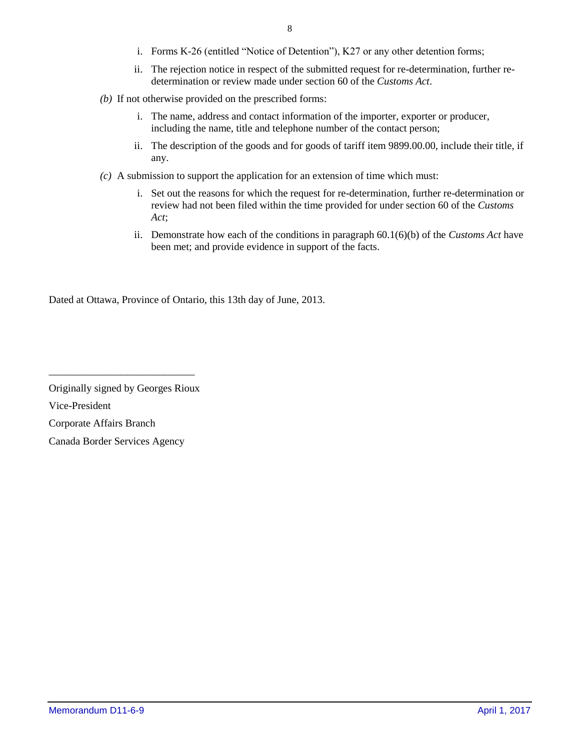- i. Forms K-26 (entitled "Notice of Detention"), K27 or any other detention forms;
- ii. The rejection notice in respect of the submitted request for re-determination, further redetermination or review made under section 60 of the *Customs Act*.
- *(b)* If not otherwise provided on the prescribed forms:
	- i. The name, address and contact information of the importer, exporter or producer, including the name, title and telephone number of the contact person;
	- ii. The description of the goods and for goods of tariff item 9899.00.00, include their title, if any.
- *(c)* A submission to support the application for an extension of time which must:
	- i. Set out the reasons for which the request for re-determination, further re-determination or review had not been filed within the time provided for under section 60 of the *Customs Act*;
	- ii. Demonstrate how each of the conditions in paragraph 60.1(6)(b) of the *Customs Act* have been met; and provide evidence in support of the facts.

Dated at Ottawa, Province of Ontario, this 13th day of June, 2013.

\_\_\_\_\_\_\_\_\_\_\_\_\_\_\_\_\_\_\_\_\_\_\_\_\_\_\_\_

Originally signed by Georges Rioux Vice-President Corporate Affairs Branch Canada Border Services Agency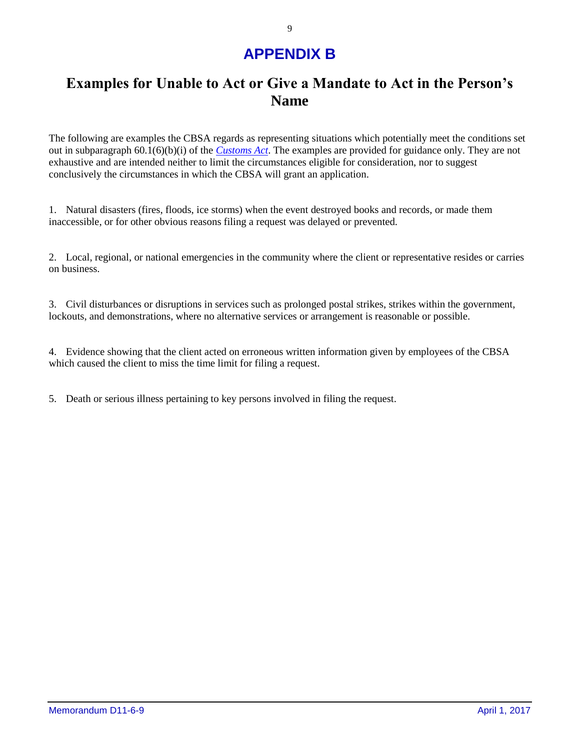## **APPENDIX B**

### <span id="page-8-0"></span>**Examples for Unable to Act or Give a Mandate to Act in the Person's Name**

The following are examples the CBSA regards as representing situations which potentially meet the conditions set out in subparagraph 60.1(6)(b)(i) of the *[Customs Act](http://laws-lois.justice.gc.ca/eng/acts/C-52.6/)*. The examples are provided for guidance only. They are not exhaustive and are intended neither to limit the circumstances eligible for consideration, nor to suggest conclusively the circumstances in which the CBSA will grant an application.

1. Natural disasters (fires, floods, ice storms) when the event destroyed books and records, or made them inaccessible, or for other obvious reasons filing a request was delayed or prevented.

2. Local, regional, or national emergencies in the community where the client or representative resides or carries on business.

3. Civil disturbances or disruptions in services such as prolonged postal strikes, strikes within the government, lockouts, and demonstrations, where no alternative services or arrangement is reasonable or possible.

4. Evidence showing that the client acted on erroneous written information given by employees of the CBSA which caused the client to miss the time limit for filing a request.

5. Death or serious illness pertaining to key persons involved in filing the request.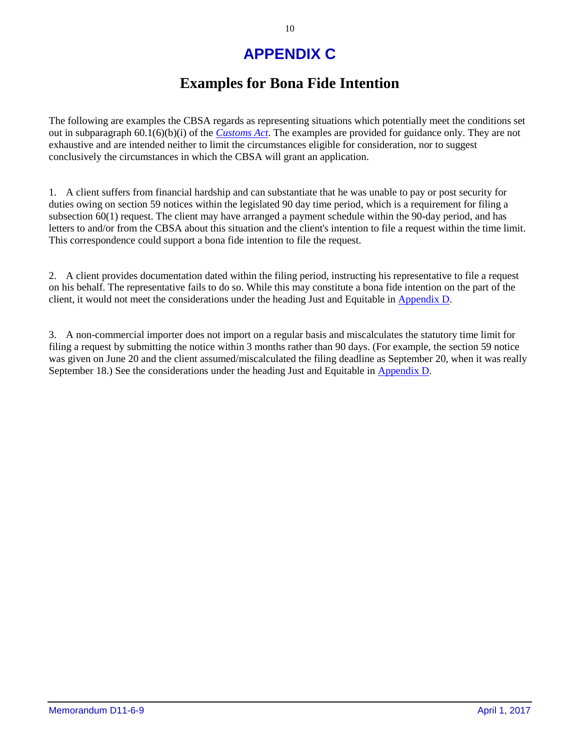# **APPENDIX C**

### **Examples for Bona Fide Intention**

The following are examples the CBSA regards as representing situations which potentially meet the conditions set out in subparagraph 60.1(6)(b)(i) of the *[Customs Act](http://laws-lois.justice.gc.ca/eng/acts/C-52.6/)*. The examples are provided for guidance only. They are not exhaustive and are intended neither to limit the circumstances eligible for consideration, nor to suggest conclusively the circumstances in which the CBSA will grant an application.

1. A client suffers from financial hardship and can substantiate that he was unable to pay or post security for duties owing on section 59 notices within the legislated 90 day time period, which is a requirement for filing a subsection 60(1) request. The client may have arranged a payment schedule within the 90-day period, and has letters to and/or from the CBSA about this situation and the client's intention to file a request within the time limit. This correspondence could support a bona fide intention to file the request.

2. A client provides documentation dated within the filing period, instructing his representative to file a request on his behalf. The representative fails to do so. While this may constitute a bona fide intention on the part of the client, it would not meet the considerations under the heading Just and Equitable in [Appendix D.](#page-10-0)

3. A non-commercial importer does not import on a regular basis and miscalculates the statutory time limit for filing a request by submitting the notice within 3 months rather than 90 days. (For example, the section 59 notice was given on June 20 and the client assumed/miscalculated the filing deadline as September 20, when it was really September 18.) See the considerations under the heading Just and Equitable in [Appendix D.](#page-10-0)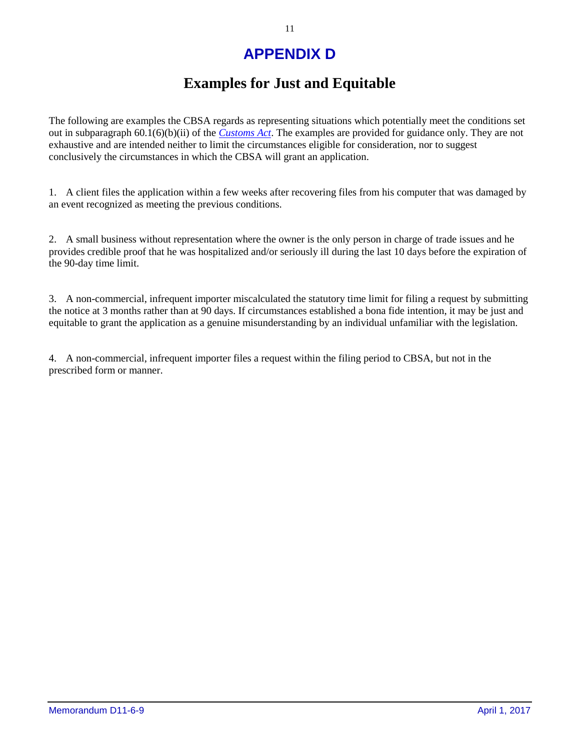# **APPENDIX D**

### **Examples for Just and Equitable**

<span id="page-10-0"></span>The following are examples the CBSA regards as representing situations which potentially meet the conditions set out in subparagraph 60.1(6)(b)(ii) of the *[Customs Act](http://laws-lois.justice.gc.ca/eng/acts/C-52.6/)*. The examples are provided for guidance only. They are not exhaustive and are intended neither to limit the circumstances eligible for consideration, nor to suggest conclusively the circumstances in which the CBSA will grant an application.

1. A client files the application within a few weeks after recovering files from his computer that was damaged by an event recognized as meeting the previous conditions.

2. A small business without representation where the owner is the only person in charge of trade issues and he provides credible proof that he was hospitalized and/or seriously ill during the last 10 days before the expiration of the 90-day time limit.

3. A non-commercial, infrequent importer miscalculated the statutory time limit for filing a request by submitting the notice at 3 months rather than at 90 days. If circumstances established a bona fide intention, it may be just and equitable to grant the application as a genuine misunderstanding by an individual unfamiliar with the legislation.

4. A non-commercial, infrequent importer files a request within the filing period to CBSA, but not in the prescribed form or manner.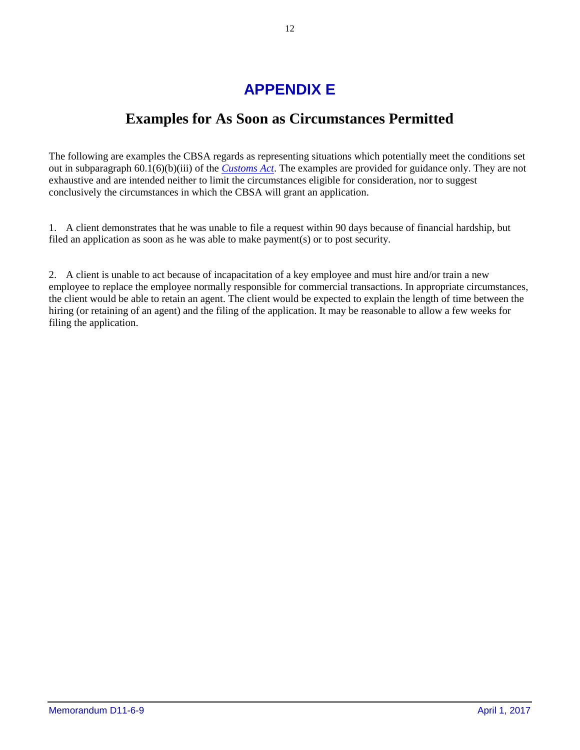# **APPENDIX E**

### **Examples for As Soon as Circumstances Permitted**

<span id="page-11-0"></span>The following are examples the CBSA regards as representing situations which potentially meet the conditions set out in subparagraph 60.1(6)(b)(iii) of the *[Customs Act](http://laws-lois.justice.gc.ca/eng/acts/C-52.6/)*. The examples are provided for guidance only. They are not exhaustive and are intended neither to limit the circumstances eligible for consideration, nor to suggest conclusively the circumstances in which the CBSA will grant an application.

1. A client demonstrates that he was unable to file a request within 90 days because of financial hardship, but filed an application as soon as he was able to make payment(s) or to post security.

2. A client is unable to act because of incapacitation of a key employee and must hire and/or train a new employee to replace the employee normally responsible for commercial transactions. In appropriate circumstances, the client would be able to retain an agent. The client would be expected to explain the length of time between the hiring (or retaining of an agent) and the filing of the application. It may be reasonable to allow a few weeks for filing the application.